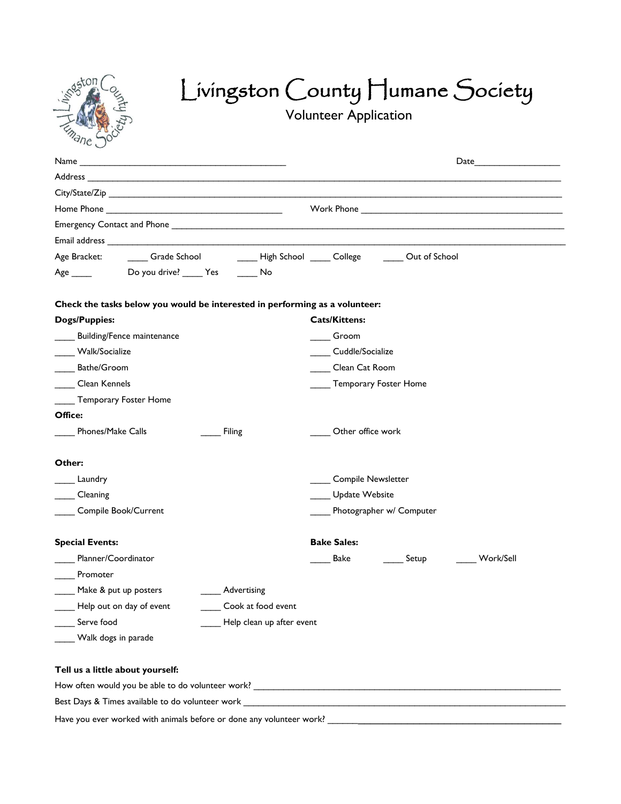

# Livingston County Humane Society

Volunteer Application

| City/State/Zip                                                                          |                            |  |  |
|-----------------------------------------------------------------------------------------|----------------------------|--|--|
|                                                                                         |                            |  |  |
|                                                                                         |                            |  |  |
|                                                                                         |                            |  |  |
| Grade School _________High School ______ College ________ Out of School<br>Age Bracket: |                            |  |  |
| Do you drive? _____ Yes<br>Age $\_\_\_\_\$<br>i No                                      |                            |  |  |
|                                                                                         |                            |  |  |
| Check the tasks below you would be interested in performing as a volunteer:             |                            |  |  |
| <b>Dogs/Puppies:</b>                                                                    | <b>Cats/Kittens:</b>       |  |  |
| Building/Fence maintenance                                                              | Groom                      |  |  |
| Walk/Socialize                                                                          | Cuddle/Socialize           |  |  |
| Bathe/Groom                                                                             | Clean Cat Room             |  |  |
| Clean Kennels                                                                           | Temporary Foster Home      |  |  |
| Temporary Foster Home                                                                   |                            |  |  |
| Office:                                                                                 |                            |  |  |
| Phones/Make Calls<br><b>Filing</b>                                                      | Other office work          |  |  |
| Other:                                                                                  |                            |  |  |
| Laundry                                                                                 | <b>Compile Newsletter</b>  |  |  |
| Cleaning                                                                                | Update Website             |  |  |
| Compile Book/Current                                                                    | Photographer w/ Computer   |  |  |
| <b>Special Events:</b>                                                                  | <b>Bake Sales:</b>         |  |  |
| Planner/Coordinator                                                                     | Bake<br>Setup<br>Work/Sell |  |  |
| Promoter                                                                                |                            |  |  |
| Make & put up posters<br>_____ Advertising                                              |                            |  |  |
| Help out on day of event __________ Cook at food event                                  |                            |  |  |
| Serve food<br>Help clean up after event                                                 |                            |  |  |
| Walk dogs in parade                                                                     |                            |  |  |
|                                                                                         |                            |  |  |
| Tell us a little about yourself:                                                        |                            |  |  |
|                                                                                         |                            |  |  |
| Best Days & Times available to do volunteer work <b>EXALLACTER INTERNATION</b>          |                            |  |  |
| Have you ever worked with animals before or done any volunteer work?                    |                            |  |  |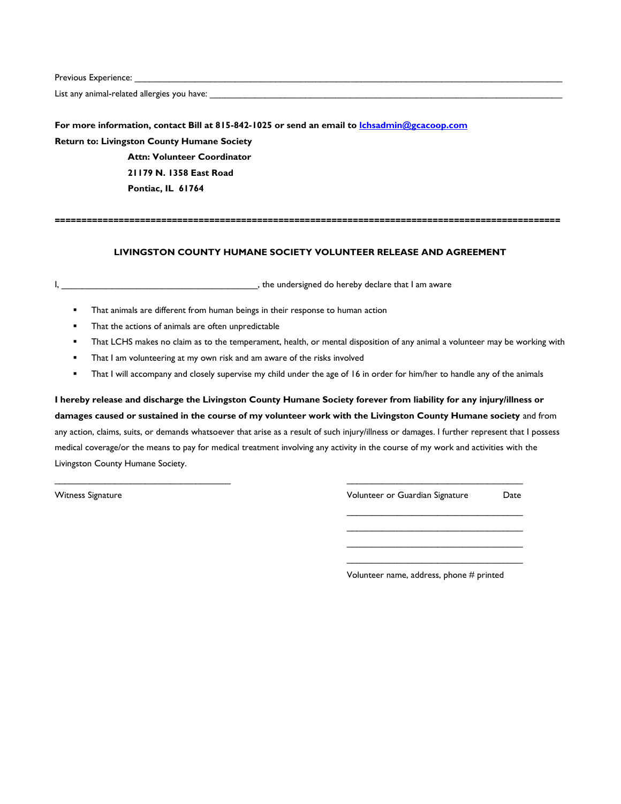Previous Experience:

List any animal-related allergies you have: \_\_\_\_\_\_\_\_\_\_\_\_\_\_\_\_\_\_\_\_\_\_\_\_\_\_\_\_\_\_\_\_\_\_\_\_\_\_\_\_\_\_\_\_\_\_\_\_\_\_\_\_\_\_\_\_\_\_\_\_\_\_\_\_\_\_\_\_\_\_

**For more information, contact Bill at 815-842-1025 or send an email to [lchsadmin@gcacoop.com](mailto:lchsadmin@gcacoop.com) Return to: Livingston County Humane Society Attn: Volunteer Coordinator**

> **21179 N. 1358 East Road Pontiac, IL 61764**

#### **===============================================================================================**

### **LIVINGSTON COUNTY HUMANE SOCIETY VOLUNTEER RELEASE AND AGREEMENT**

I, the undersigned do hereby declare that I am aware

- **That animals are different from human beings in their response to human action**
- **That the actions of animals are often unpredictable**
- That LCHS makes no claim as to the temperament, health, or mental disposition of any animal a volunteer may be working with
- **That I am volunteering at my own risk and am aware of the risks involved**
- That I will accompany and closely supervise my child under the age of 16 in order for him/her to handle any of the animals

**I hereby release and discharge the Livingston County Humane Society forever from liability for any injury/illness or damages caused or sustained in the course of my volunteer work with the Livingston County Humane society** and from any action, claims, suits, or demands whatsoever that arise as a result of such injury/illness or damages. I further represent that I possess medical coverage/or the means to pay for medical treatment involving any activity in the course of my work and activities with the Livingston County Humane Society.

 $\overline{\phantom{a}}$  , and the contribution of the contribution of the contribution of the contribution of the contribution of the contribution of the contribution of the contribution of the contribution of the contribution of the

Witness Signature Volunteer or Guardian Signature Date  $\mathcal{L}_\text{max}$  , and the set of the set of the set of the set of the set of the set of the set of the set of the set of the set of the set of the set of the set of the set of the set of the set of the set of the set of the

> $\mathcal{L}_\text{max}$  , and the set of the set of the set of the set of the set of the set of the set of the set of the set of the set of the set of the set of the set of the set of the set of the set of the set of the set of the \_\_\_\_\_\_\_\_\_\_\_\_\_\_\_\_\_\_\_\_\_\_\_\_\_\_\_\_\_\_\_\_\_\_\_  $\mathcal{L}_\text{max}$  , and the set of the set of the set of the set of the set of the set of the set of the set of the set of the set of the set of the set of the set of the set of the set of the set of the set of the set of the

Volunteer name, address, phone # printed